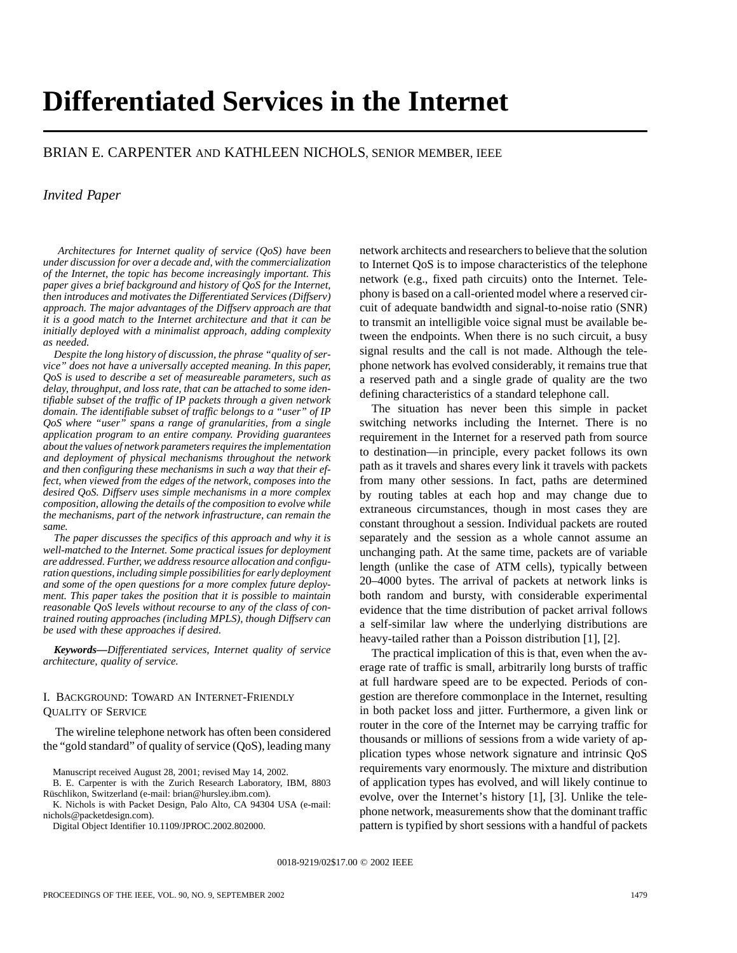# **Differentiated Services in the Internet**

BRIAN E. CARPENTER AND KATHLEEN NICHOLS, SENIOR MEMBER, IEEE

# *Invited Paper*

*Architectures for Internet quality of service (QoS) have been under discussion for over a decade and, with the commercialization of the Internet, the topic has become increasingly important. This paper gives a brief background and history of QoS for the Internet, then introduces and motivates the Differentiated Services (Diffserv) approach. The major advantages of the Diffserv approach are that it is a good match to the Internet architecture and that it can be initially deployed with a minimalist approach, adding complexity as needed.*

*Despite the long history of discussion, the phrase "quality of service" does not have a universally accepted meaning. In this paper, QoS is used to describe a set of measureable parameters, such as delay, throughput, and loss rate, that can be attached to some identifiable subset of the traffic of IP packets through a given network domain. The identifiable subset of traffic belongs to a "user" of IP QoS where "user" spans a range of granularities, from a single application program to an entire company. Providing guarantees about the values of network parameters requires the implementation and deployment of physical mechanisms throughout the network and then configuring these mechanisms in such a way that their effect, when viewed from the edges of the network, composes into the desired QoS. Diffserv uses simple mechanisms in a more complex composition, allowing the details of the composition to evolve while the mechanisms, part of the network infrastructure, can remain the same.*

*The paper discusses the specifics of this approach and why it is well-matched to the Internet. Some practical issues for deployment are addressed. Further, we address resource allocation and configuration questions, including simple possibilities for early deployment and some of the open questions for a more complex future deployment. This paper takes the position that it is possible to maintain reasonable QoS levels without recourse to any of the class of contrained routing approaches (including MPLS), though Diffserv can be used with these approaches if desired.*

*Keywords—Differentiated services, Internet quality of service architecture, quality of service.*

#### I. BACKGROUND: TOWARD AN INTERNET-FRIENDLY QUALITY OF SERVICE

The wireline telephone network has often been considered the "gold standard" of quality of service (QoS), leading many

Manuscript received August 28, 2001; revised May 14, 2002.

B. E. Carpenter is with the Zurich Research Laboratory, IBM, 8803 Rüschlikon, Switzerland (e-mail: brian@hursley.ibm.com).

K. Nichols is with Packet Design, Palo Alto, CA 94304 USA (e-mail: nichols@packetdesign.com).

Digital Object Identifier 10.1109/JPROC.2002.802000.

network architects and researchers to believe that the solution to Internet QoS is to impose characteristics of the telephone network (e.g., fixed path circuits) onto the Internet. Telephony is based on a call-oriented model where a reserved circuit of adequate bandwidth and signal-to-noise ratio (SNR) to transmit an intelligible voice signal must be available between the endpoints. When there is no such circuit, a busy signal results and the call is not made. Although the telephone network has evolved considerably, it remains true that a reserved path and a single grade of quality are the two defining characteristics of a standard telephone call.

The situation has never been this simple in packet switching networks including the Internet. There is no requirement in the Internet for a reserved path from source to destination—in principle, every packet follows its own path as it travels and shares every link it travels with packets from many other sessions. In fact, paths are determined by routing tables at each hop and may change due to extraneous circumstances, though in most cases they are constant throughout a session. Individual packets are routed separately and the session as a whole cannot assume an unchanging path. At the same time, packets are of variable length (unlike the case of ATM cells), typically between 20–4000 bytes. The arrival of packets at network links is both random and bursty, with considerable experimental evidence that the time distribution of packet arrival follows a self-similar law where the underlying distributions are heavy-tailed rather than a Poisson distribution [1], [2].

The practical implication of this is that, even when the average rate of traffic is small, arbitrarily long bursts of traffic at full hardware speed are to be expected. Periods of congestion are therefore commonplace in the Internet, resulting in both packet loss and jitter. Furthermore, a given link or router in the core of the Internet may be carrying traffic for thousands or millions of sessions from a wide variety of application types whose network signature and intrinsic QoS requirements vary enormously. The mixture and distribution of application types has evolved, and will likely continue to evolve, over the Internet's history [1], [3]. Unlike the telephone network, measurements show that the dominant traffic pattern is typified by short sessions with a handful of packets

0018-9219/02\$17.00 © 2002 IEEE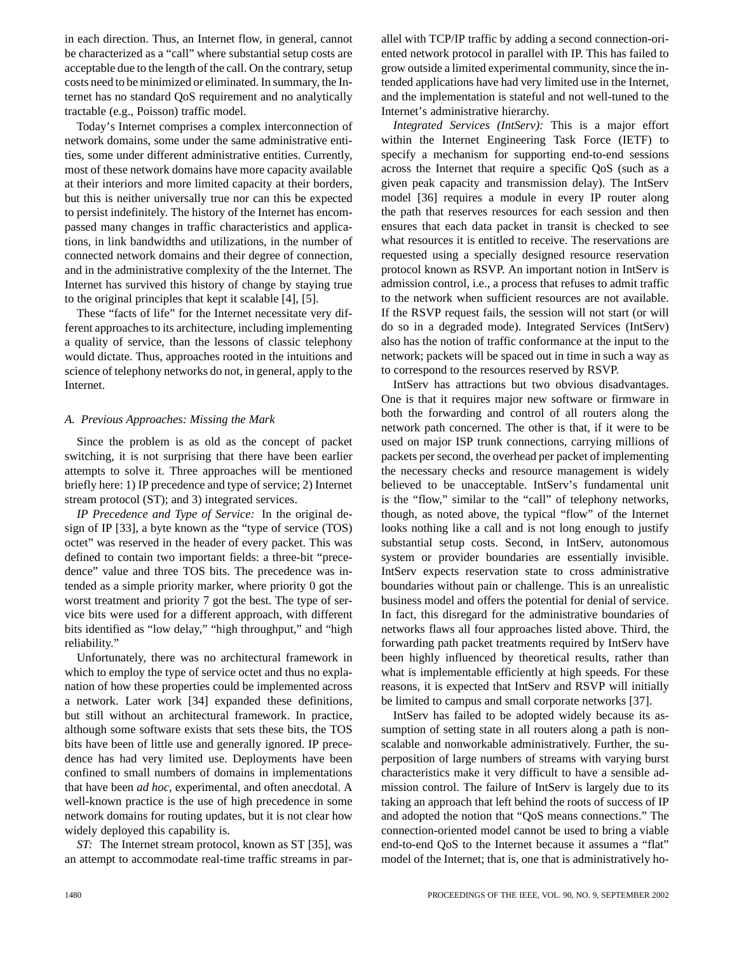in each direction. Thus, an Internet flow, in general, cannot be characterized as a "call" where substantial setup costs are acceptable due to the length of the call. On the contrary, setup costs need to be minimized or eliminated. In summary, the Internet has no standard QoS requirement and no analytically tractable (e.g., Poisson) traffic model.

Today's Internet comprises a complex interconnection of network domains, some under the same administrative entities, some under different administrative entities. Currently, most of these network domains have more capacity available at their interiors and more limited capacity at their borders, but this is neither universally true nor can this be expected to persist indefinitely. The history of the Internet has encompassed many changes in traffic characteristics and applications, in link bandwidths and utilizations, in the number of connected network domains and their degree of connection, and in the administrative complexity of the the Internet. The Internet has survived this history of change by staying true to the original principles that kept it scalable [4], [5].

These "facts of life" for the Internet necessitate very different approaches to its architecture, including implementing a quality of service, than the lessons of classic telephony would dictate. Thus, approaches rooted in the intuitions and science of telephony networks do not, in general, apply to the Internet.

#### *A. Previous Approaches: Missing the Mark*

Since the problem is as old as the concept of packet switching, it is not surprising that there have been earlier attempts to solve it. Three approaches will be mentioned briefly here: 1) IP precedence and type of service; 2) Internet stream protocol (ST); and 3) integrated services.

*IP Precedence and Type of Service:* In the original design of IP [33], a byte known as the "type of service (TOS) octet" was reserved in the header of every packet. This was defined to contain two important fields: a three-bit "precedence" value and three TOS bits. The precedence was intended as a simple priority marker, where priority 0 got the worst treatment and priority 7 got the best. The type of service bits were used for a different approach, with different bits identified as "low delay," "high throughput," and "high reliability."

Unfortunately, there was no architectural framework in which to employ the type of service octet and thus no explanation of how these properties could be implemented across a network. Later work [34] expanded these definitions, but still without an architectural framework. In practice, although some software exists that sets these bits, the TOS bits have been of little use and generally ignored. IP precedence has had very limited use. Deployments have been confined to small numbers of domains in implementations that have been *ad hoc*, experimental, and often anecdotal. A well-known practice is the use of high precedence in some network domains for routing updates, but it is not clear how widely deployed this capability is.

*ST:* The Internet stream protocol, known as ST [35], was an attempt to accommodate real-time traffic streams in parallel with TCP/IP traffic by adding a second connection-oriented network protocol in parallel with IP. This has failed to grow outside a limited experimental community, since the intended applications have had very limited use in the Internet, and the implementation is stateful and not well-tuned to the Internet's administrative hierarchy.

*Integrated Services (IntServ):* This is a major effort within the Internet Engineering Task Force (IETF) to specify a mechanism for supporting end-to-end sessions across the Internet that require a specific QoS (such as a given peak capacity and transmission delay). The IntServ model [36] requires a module in every IP router along the path that reserves resources for each session and then ensures that each data packet in transit is checked to see what resources it is entitled to receive. The reservations are requested using a specially designed resource reservation protocol known as RSVP. An important notion in IntServ is admission control, i.e., a process that refuses to admit traffic to the network when sufficient resources are not available. If the RSVP request fails, the session will not start (or will do so in a degraded mode). Integrated Services (IntServ) also has the notion of traffic conformance at the input to the network; packets will be spaced out in time in such a way as to correspond to the resources reserved by RSVP.

IntServ has attractions but two obvious disadvantages. One is that it requires major new software or firmware in both the forwarding and control of all routers along the network path concerned. The other is that, if it were to be used on major ISP trunk connections, carrying millions of packets per second, the overhead per packet of implementing the necessary checks and resource management is widely believed to be unacceptable. IntServ's fundamental unit is the "flow," similar to the "call" of telephony networks, though, as noted above, the typical "flow" of the Internet looks nothing like a call and is not long enough to justify substantial setup costs. Second, in IntServ, autonomous system or provider boundaries are essentially invisible. IntServ expects reservation state to cross administrative boundaries without pain or challenge. This is an unrealistic business model and offers the potential for denial of service. In fact, this disregard for the administrative boundaries of networks flaws all four approaches listed above. Third, the forwarding path packet treatments required by IntServ have been highly influenced by theoretical results, rather than what is implementable efficiently at high speeds. For these reasons, it is expected that IntServ and RSVP will initially be limited to campus and small corporate networks [37].

IntServ has failed to be adopted widely because its assumption of setting state in all routers along a path is nonscalable and nonworkable administratively. Further, the superposition of large numbers of streams with varying burst characteristics make it very difficult to have a sensible admission control. The failure of IntServ is largely due to its taking an approach that left behind the roots of success of IP and adopted the notion that "QoS means connections." The connection-oriented model cannot be used to bring a viable end-to-end QoS to the Internet because it assumes a "flat" model of the Internet; that is, one that is administratively ho-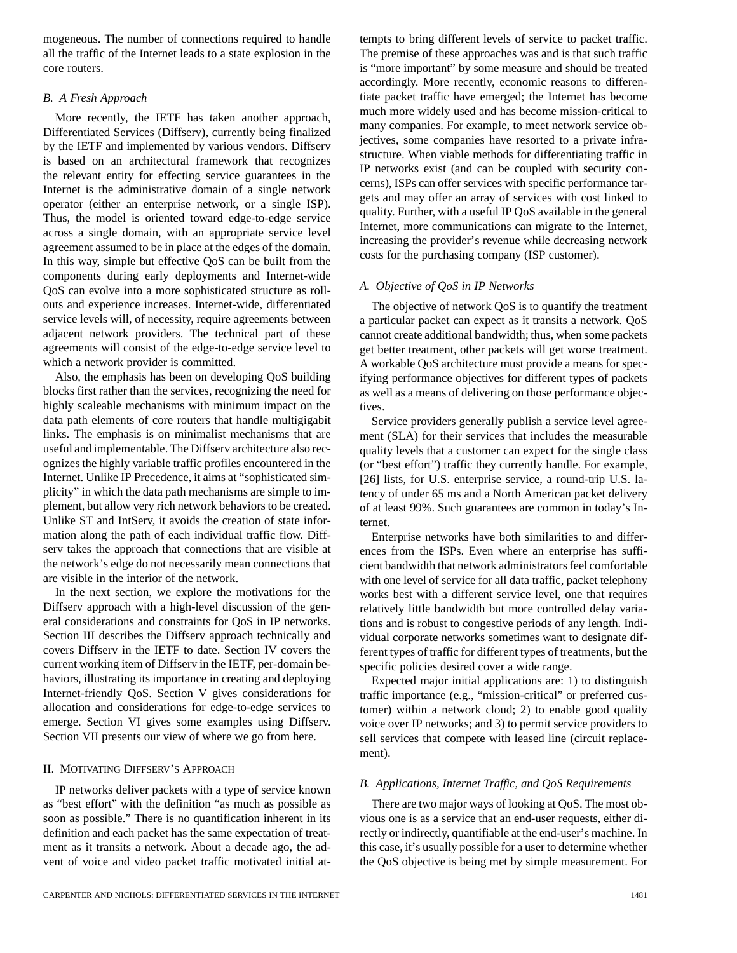mogeneous. The number of connections required to handle all the traffic of the Internet leads to a state explosion in the core routers.

## *B. A Fresh Approach*

More recently, the IETF has taken another approach, Differentiated Services (Diffserv), currently being finalized by the IETF and implemented by various vendors. Diffserv is based on an architectural framework that recognizes the relevant entity for effecting service guarantees in the Internet is the administrative domain of a single network operator (either an enterprise network, or a single ISP). Thus, the model is oriented toward edge-to-edge service across a single domain, with an appropriate service level agreement assumed to be in place at the edges of the domain. In this way, simple but effective QoS can be built from the components during early deployments and Internet-wide QoS can evolve into a more sophisticated structure as rollouts and experience increases. Internet-wide, differentiated service levels will, of necessity, require agreements between adjacent network providers. The technical part of these agreements will consist of the edge-to-edge service level to which a network provider is committed.

Also, the emphasis has been on developing QoS building blocks first rather than the services, recognizing the need for highly scaleable mechanisms with minimum impact on the data path elements of core routers that handle multigigabit links. The emphasis is on minimalist mechanisms that are useful and implementable. The Diffserv architecture also recognizes the highly variable traffic profiles encountered in the Internet. Unlike IP Precedence, it aims at "sophisticated simplicity" in which the data path mechanisms are simple to implement, but allow very rich network behaviors to be created. Unlike ST and IntServ, it avoids the creation of state information along the path of each individual traffic flow. Diffserv takes the approach that connections that are visible at the network's edge do not necessarily mean connections that are visible in the interior of the network.

In the next section, we explore the motivations for the Diffserv approach with a high-level discussion of the general considerations and constraints for QoS in IP networks. Section III describes the Diffserv approach technically and covers Diffserv in the IETF to date. Section IV covers the current working item of Diffserv in the IETF, per-domain behaviors, illustrating its importance in creating and deploying Internet-friendly QoS. Section V gives considerations for allocation and considerations for edge-to-edge services to emerge. Section VI gives some examples using Diffserv. Section VII presents our view of where we go from here.

# II. MOTIVATING DIFFSERV'S APPROACH

IP networks deliver packets with a type of service known as "best effort" with the definition "as much as possible as soon as possible." There is no quantification inherent in its definition and each packet has the same expectation of treatment as it transits a network. About a decade ago, the advent of voice and video packet traffic motivated initial attempts to bring different levels of service to packet traffic. The premise of these approaches was and is that such traffic is "more important" by some measure and should be treated accordingly. More recently, economic reasons to differentiate packet traffic have emerged; the Internet has become much more widely used and has become mission-critical to many companies. For example, to meet network service objectives, some companies have resorted to a private infrastructure. When viable methods for differentiating traffic in IP networks exist (and can be coupled with security concerns), ISPs can offer services with specific performance targets and may offer an array of services with cost linked to quality. Further, with a useful IP QoS available in the general Internet, more communications can migrate to the Internet, increasing the provider's revenue while decreasing network costs for the purchasing company (ISP customer).

## *A. Objective of QoS in IP Networks*

The objective of network QoS is to quantify the treatment a particular packet can expect as it transits a network. QoS cannot create additional bandwidth; thus, when some packets get better treatment, other packets will get worse treatment. A workable QoS architecture must provide a means for specifying performance objectives for different types of packets as well as a means of delivering on those performance objectives.

Service providers generally publish a service level agreement (SLA) for their services that includes the measurable quality levels that a customer can expect for the single class (or "best effort") traffic they currently handle. For example, [26] lists, for U.S. enterprise service, a round-trip U.S. latency of under 65 ms and a North American packet delivery of at least 99%. Such guarantees are common in today's Internet.

Enterprise networks have both similarities to and differences from the ISPs. Even where an enterprise has sufficient bandwidth that network administrators feel comfortable with one level of service for all data traffic, packet telephony works best with a different service level, one that requires relatively little bandwidth but more controlled delay variations and is robust to congestive periods of any length. Individual corporate networks sometimes want to designate different types of traffic for different types of treatments, but the specific policies desired cover a wide range.

Expected major initial applications are: 1) to distinguish traffic importance (e.g., "mission-critical" or preferred customer) within a network cloud; 2) to enable good quality voice over IP networks; and 3) to permit service providers to sell services that compete with leased line (circuit replacement).

# *B. Applications, Internet Traffic, and QoS Requirements*

There are two major ways of looking at QoS. The most obvious one is as a service that an end-user requests, either directly or indirectly, quantifiable at the end-user's machine. In this case, it's usually possible for a user to determine whether the QoS objective is being met by simple measurement. For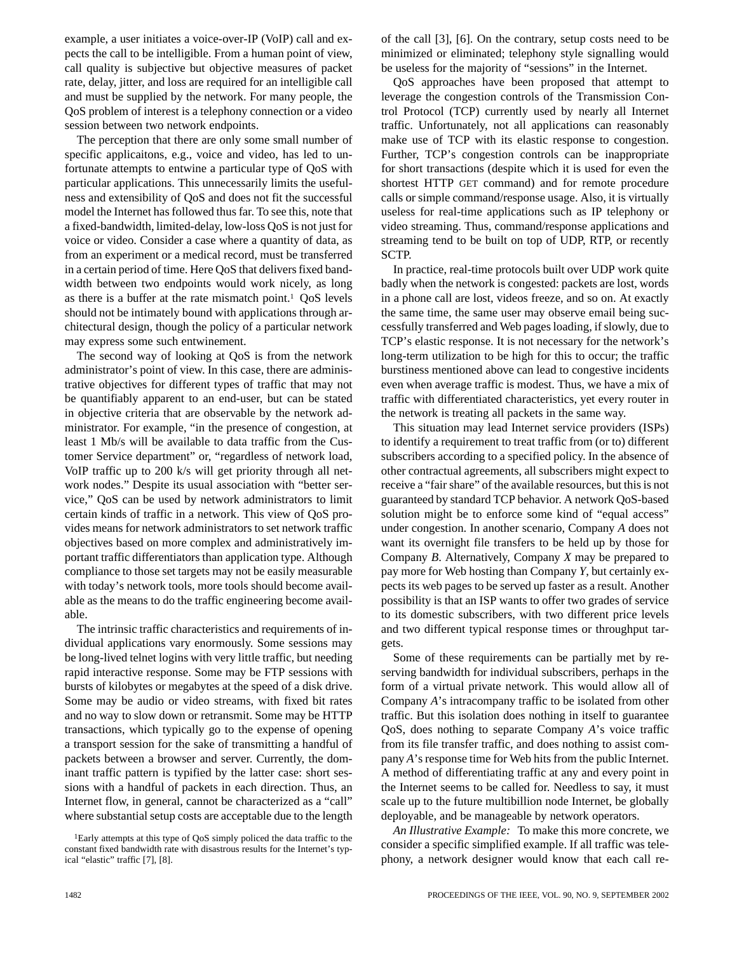example, a user initiates a voice-over-IP (VoIP) call and expects the call to be intelligible. From a human point of view, call quality is subjective but objective measures of packet rate, delay, jitter, and loss are required for an intelligible call and must be supplied by the network. For many people, the QoS problem of interest is a telephony connection or a video session between two network endpoints.

The perception that there are only some small number of specific applicaitons, e.g., voice and video, has led to unfortunate attempts to entwine a particular type of QoS with particular applications. This unnecessarily limits the usefulness and extensibility of QoS and does not fit the successful model the Internet has followed thus far. To see this, note that a fixed-bandwidth, limited-delay, low-loss QoS is not just for voice or video. Consider a case where a quantity of data, as from an experiment or a medical record, must be transferred in a certain period of time. Here QoS that delivers fixed bandwidth between two endpoints would work nicely, as long as there is a buffer at the rate mismatch point.<sup>1</sup> QoS levels should not be intimately bound with applications through architectural design, though the policy of a particular network may express some such entwinement.

The second way of looking at QoS is from the network administrator's point of view. In this case, there are administrative objectives for different types of traffic that may not be quantifiably apparent to an end-user, but can be stated in objective criteria that are observable by the network administrator. For example, "in the presence of congestion, at least 1 Mb/s will be available to data traffic from the Customer Service department" or, "regardless of network load, VoIP traffic up to 200 k/s will get priority through all network nodes." Despite its usual association with "better service," QoS can be used by network administrators to limit certain kinds of traffic in a network. This view of QoS provides means for network administrators to set network traffic objectives based on more complex and administratively important traffic differentiators than application type. Although compliance to those set targets may not be easily measurable with today's network tools, more tools should become available as the means to do the traffic engineering become available.

The intrinsic traffic characteristics and requirements of individual applications vary enormously. Some sessions may be long-lived telnet logins with very little traffic, but needing rapid interactive response. Some may be FTP sessions with bursts of kilobytes or megabytes at the speed of a disk drive. Some may be audio or video streams, with fixed bit rates and no way to slow down or retransmit. Some may be HTTP transactions, which typically go to the expense of opening a transport session for the sake of transmitting a handful of packets between a browser and server. Currently, the dominant traffic pattern is typified by the latter case: short sessions with a handful of packets in each direction. Thus, an Internet flow, in general, cannot be characterized as a "call" where substantial setup costs are acceptable due to the length of the call [3], [6]. On the contrary, setup costs need to be minimized or eliminated; telephony style signalling would be useless for the majority of "sessions" in the Internet.

QoS approaches have been proposed that attempt to leverage the congestion controls of the Transmission Control Protocol (TCP) currently used by nearly all Internet traffic. Unfortunately, not all applications can reasonably make use of TCP with its elastic response to congestion. Further, TCP's congestion controls can be inappropriate for short transactions (despite which it is used for even the shortest HTTP GET command) and for remote procedure calls or simple command/response usage. Also, it is virtually useless for real-time applications such as IP telephony or video streaming. Thus, command/response applications and streaming tend to be built on top of UDP, RTP, or recently SCTP.

In practice, real-time protocols built over UDP work quite badly when the network is congested: packets are lost, words in a phone call are lost, videos freeze, and so on. At exactly the same time, the same user may observe email being successfully transferred and Web pages loading, if slowly, due to TCP's elastic response. It is not necessary for the network's long-term utilization to be high for this to occur; the traffic burstiness mentioned above can lead to congestive incidents even when average traffic is modest. Thus, we have a mix of traffic with differentiated characteristics, yet every router in the network is treating all packets in the same way.

This situation may lead Internet service providers (ISPs) to identify a requirement to treat traffic from (or to) different subscribers according to a specified policy. In the absence of other contractual agreements, all subscribers might expect to receive a "fair share" of the available resources, but this is not guaranteed by standard TCP behavior. A network QoS-based solution might be to enforce some kind of "equal access" under congestion. In another scenario, Company *A* does not want its overnight file transfers to be held up by those for Company *B*. Alternatively, Company *X* may be prepared to pay more for Web hosting than Company *Y*, but certainly expects its web pages to be served up faster as a result. Another possibility is that an ISP wants to offer two grades of service to its domestic subscribers, with two different price levels and two different typical response times or throughput targets.

Some of these requirements can be partially met by reserving bandwidth for individual subscribers, perhaps in the form of a virtual private network. This would allow all of Company *A*'s intracompany traffic to be isolated from other traffic. But this isolation does nothing in itself to guarantee QoS, does nothing to separate Company *A*'s voice traffic from its file transfer traffic, and does nothing to assist company *A*'s response time for Web hits from the public Internet. A method of differentiating traffic at any and every point in the Internet seems to be called for. Needless to say, it must scale up to the future multibillion node Internet, be globally deployable, and be manageable by network operators.

*An Illustrative Example:* To make this more concrete, we consider a specific simplified example. If all traffic was telephony, a network designer would know that each call re-

<sup>1</sup>Early attempts at this type of QoS simply policed the data traffic to the constant fixed bandwidth rate with disastrous results for the Internet's typical "elastic" traffic [7], [8].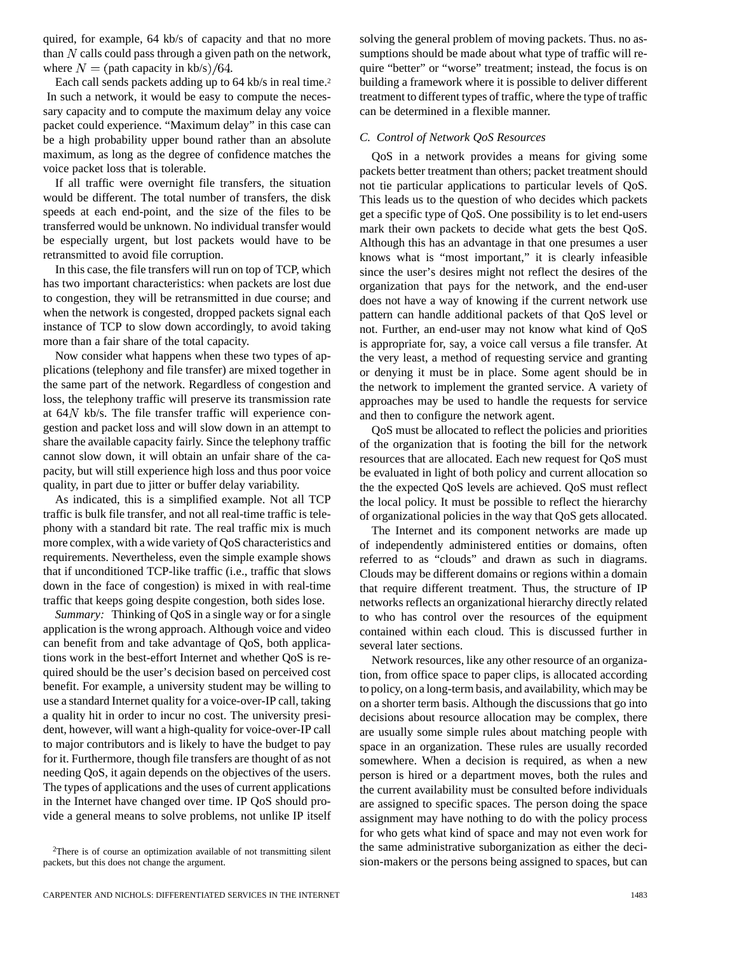quired, for example, 64 kb/s of capacity and that no more than  $N$  calls could pass through a given path on the network, where  $N = (path capacity in kb/s)/64$ .

Each call sends packets adding up to 64 kb/s in real time.<sup>2</sup> In such a network, it would be easy to compute the necessary capacity and to compute the maximum delay any voice packet could experience. "Maximum delay" in this case can be a high probability upper bound rather than an absolute maximum, as long as the degree of confidence matches the voice packet loss that is tolerable.

If all traffic were overnight file transfers, the situation would be different. The total number of transfers, the disk speeds at each end-point, and the size of the files to be transferred would be unknown. No individual transfer would be especially urgent, but lost packets would have to be retransmitted to avoid file corruption.

In this case, the file transfers will run on top of TCP, which has two important characteristics: when packets are lost due to congestion, they will be retransmitted in due course; and when the network is congested, dropped packets signal each instance of TCP to slow down accordingly, to avoid taking more than a fair share of the total capacity.

Now consider what happens when these two types of applications (telephony and file transfer) are mixed together in the same part of the network. Regardless of congestion and loss, the telephony traffic will preserve its transmission rate at  $64N$  kb/s. The file transfer traffic will experience congestion and packet loss and will slow down in an attempt to share the available capacity fairly. Since the telephony traffic cannot slow down, it will obtain an unfair share of the capacity, but will still experience high loss and thus poor voice quality, in part due to jitter or buffer delay variability.

As indicated, this is a simplified example. Not all TCP traffic is bulk file transfer, and not all real-time traffic is telephony with a standard bit rate. The real traffic mix is much more complex, with a wide variety of QoS characteristics and requirements. Nevertheless, even the simple example shows that if unconditioned TCP-like traffic (i.e., traffic that slows down in the face of congestion) is mixed in with real-time traffic that keeps going despite congestion, both sides lose.

*Summary:* Thinking of QoS in a single way or for a single application is the wrong approach. Although voice and video can benefit from and take advantage of QoS, both applications work in the best-effort Internet and whether QoS is required should be the user's decision based on perceived cost benefit. For example, a university student may be willing to use a standard Internet quality for a voice-over-IP call, taking a quality hit in order to incur no cost. The university president, however, will want a high-quality for voice-over-IP call to major contributors and is likely to have the budget to pay for it. Furthermore, though file transfers are thought of as not needing QoS, it again depends on the objectives of the users. The types of applications and the uses of current applications in the Internet have changed over time. IP QoS should provide a general means to solve problems, not unlike IP itself

solving the general problem of moving packets. Thus. no assumptions should be made about what type of traffic will require "better" or "worse" treatment; instead, the focus is on building a framework where it is possible to deliver different treatment to different types of traffic, where the type of traffic can be determined in a flexible manner.

#### *C. Control of Network QoS Resources*

QoS in a network provides a means for giving some packets better treatment than others; packet treatment should not tie particular applications to particular levels of QoS. This leads us to the question of who decides which packets get a specific type of QoS. One possibility is to let end-users mark their own packets to decide what gets the best QoS. Although this has an advantage in that one presumes a user knows what is "most important," it is clearly infeasible since the user's desires might not reflect the desires of the organization that pays for the network, and the end-user does not have a way of knowing if the current network use pattern can handle additional packets of that QoS level or not. Further, an end-user may not know what kind of QoS is appropriate for, say, a voice call versus a file transfer. At the very least, a method of requesting service and granting or denying it must be in place. Some agent should be in the network to implement the granted service. A variety of approaches may be used to handle the requests for service and then to configure the network agent.

QoS must be allocated to reflect the policies and priorities of the organization that is footing the bill for the network resources that are allocated. Each new request for QoS must be evaluated in light of both policy and current allocation so the the expected QoS levels are achieved. QoS must reflect the local policy. It must be possible to reflect the hierarchy of organizational policies in the way that QoS gets allocated.

The Internet and its component networks are made up of independently administered entities or domains, often referred to as "clouds" and drawn as such in diagrams. Clouds may be different domains or regions within a domain that require different treatment. Thus, the structure of IP networks reflects an organizational hierarchy directly related to who has control over the resources of the equipment contained within each cloud. This is discussed further in several later sections.

Network resources, like any other resource of an organization, from office space to paper clips, is allocated according to policy, on a long-term basis, and availability, which may be on a shorter term basis. Although the discussions that go into decisions about resource allocation may be complex, there are usually some simple rules about matching people with space in an organization. These rules are usually recorded somewhere. When a decision is required, as when a new person is hired or a department moves, both the rules and the current availability must be consulted before individuals are assigned to specific spaces. The person doing the space assignment may have nothing to do with the policy process for who gets what kind of space and may not even work for the same administrative suborganization as either the decision-makers or the persons being assigned to spaces, but can

<sup>2</sup>There is of course an optimization available of not transmitting silent packets, but this does not change the argument.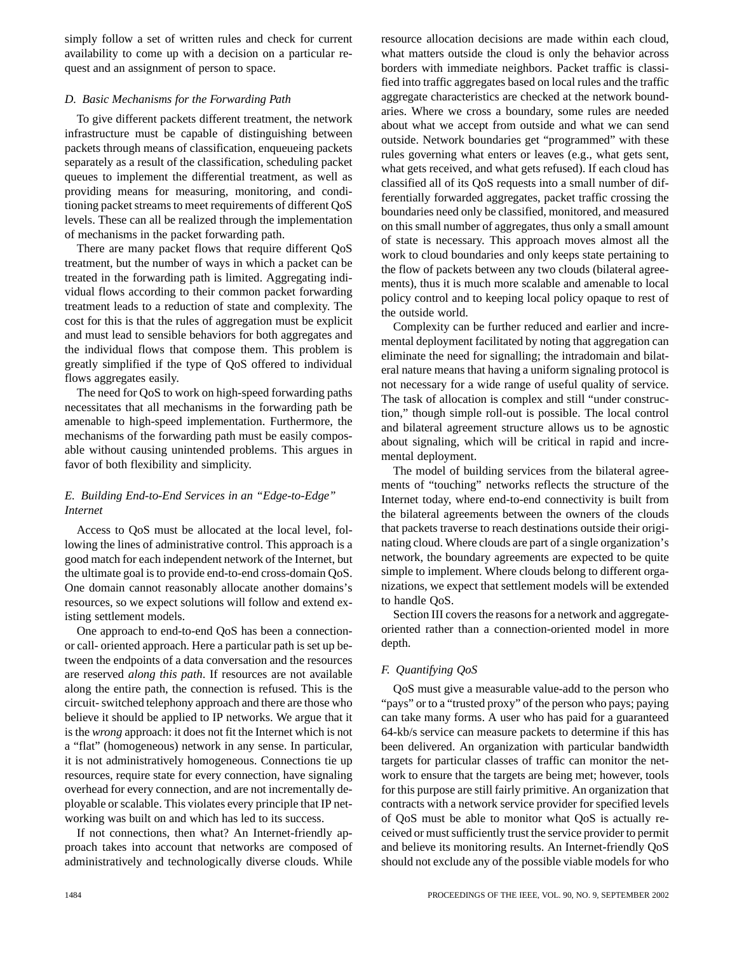simply follow a set of written rules and check for current availability to come up with a decision on a particular request and an assignment of person to space.

## *D. Basic Mechanisms for the Forwarding Path*

To give different packets different treatment, the network infrastructure must be capable of distinguishing between packets through means of classification, enqueueing packets separately as a result of the classification, scheduling packet queues to implement the differential treatment, as well as providing means for measuring, monitoring, and conditioning packet streams to meet requirements of different QoS levels. These can all be realized through the implementation of mechanisms in the packet forwarding path.

There are many packet flows that require different QoS treatment, but the number of ways in which a packet can be treated in the forwarding path is limited. Aggregating individual flows according to their common packet forwarding treatment leads to a reduction of state and complexity. The cost for this is that the rules of aggregation must be explicit and must lead to sensible behaviors for both aggregates and the individual flows that compose them. This problem is greatly simplified if the type of QoS offered to individual flows aggregates easily.

The need for QoS to work on high-speed forwarding paths necessitates that all mechanisms in the forwarding path be amenable to high-speed implementation. Furthermore, the mechanisms of the forwarding path must be easily composable without causing unintended problems. This argues in favor of both flexibility and simplicity.

# *E. Building End-to-End Services in an "Edge-to-Edge" Internet*

Access to QoS must be allocated at the local level, following the lines of administrative control. This approach is a good match for each independent network of the Internet, but the ultimate goal is to provide end-to-end cross-domain QoS. One domain cannot reasonably allocate another domains's resources, so we expect solutions will follow and extend existing settlement models.

One approach to end-to-end QoS has been a connectionor call- oriented approach. Here a particular path is set up between the endpoints of a data conversation and the resources are reserved *along this path*. If resources are not available along the entire path, the connection is refused. This is the circuit- switched telephony approach and there are those who believe it should be applied to IP networks. We argue that it is the *wrong* approach: it does not fit the Internet which is not a "flat" (homogeneous) network in any sense. In particular, it is not administratively homogeneous. Connections tie up resources, require state for every connection, have signaling overhead for every connection, and are not incrementally deployable or scalable. This violates every principle that IP networking was built on and which has led to its success.

If not connections, then what? An Internet-friendly approach takes into account that networks are composed of administratively and technologically diverse clouds. While

resource allocation decisions are made within each cloud, what matters outside the cloud is only the behavior across borders with immediate neighbors. Packet traffic is classified into traffic aggregates based on local rules and the traffic aggregate characteristics are checked at the network boundaries. Where we cross a boundary, some rules are needed about what we accept from outside and what we can send outside. Network boundaries get "programmed" with these rules governing what enters or leaves (e.g., what gets sent, what gets received, and what gets refused). If each cloud has classified all of its QoS requests into a small number of differentially forwarded aggregates, packet traffic crossing the boundaries need only be classified, monitored, and measured on this small number of aggregates, thus only a small amount of state is necessary. This approach moves almost all the work to cloud boundaries and only keeps state pertaining to the flow of packets between any two clouds (bilateral agreements), thus it is much more scalable and amenable to local policy control and to keeping local policy opaque to rest of the outside world.

Complexity can be further reduced and earlier and incremental deployment facilitated by noting that aggregation can eliminate the need for signalling; the intradomain and bilateral nature means that having a uniform signaling protocol is not necessary for a wide range of useful quality of service. The task of allocation is complex and still "under construction," though simple roll-out is possible. The local control and bilateral agreement structure allows us to be agnostic about signaling, which will be critical in rapid and incremental deployment.

The model of building services from the bilateral agreements of "touching" networks reflects the structure of the Internet today, where end-to-end connectivity is built from the bilateral agreements between the owners of the clouds that packets traverse to reach destinations outside their originating cloud. Where clouds are part of a single organization's network, the boundary agreements are expected to be quite simple to implement. Where clouds belong to different organizations, we expect that settlement models will be extended to handle QoS.

Section III covers the reasons for a network and aggregateoriented rather than a connection-oriented model in more depth.

# *F. Quantifying QoS*

QoS must give a measurable value-add to the person who "pays" or to a "trusted proxy" of the person who pays; paying can take many forms. A user who has paid for a guaranteed 64-kb/s service can measure packets to determine if this has been delivered. An organization with particular bandwidth targets for particular classes of traffic can monitor the network to ensure that the targets are being met; however, tools for this purpose are still fairly primitive. An organization that contracts with a network service provider for specified levels of QoS must be able to monitor what QoS is actually received or must sufficiently trust the service provider to permit and believe its monitoring results. An Internet-friendly QoS should not exclude any of the possible viable models for who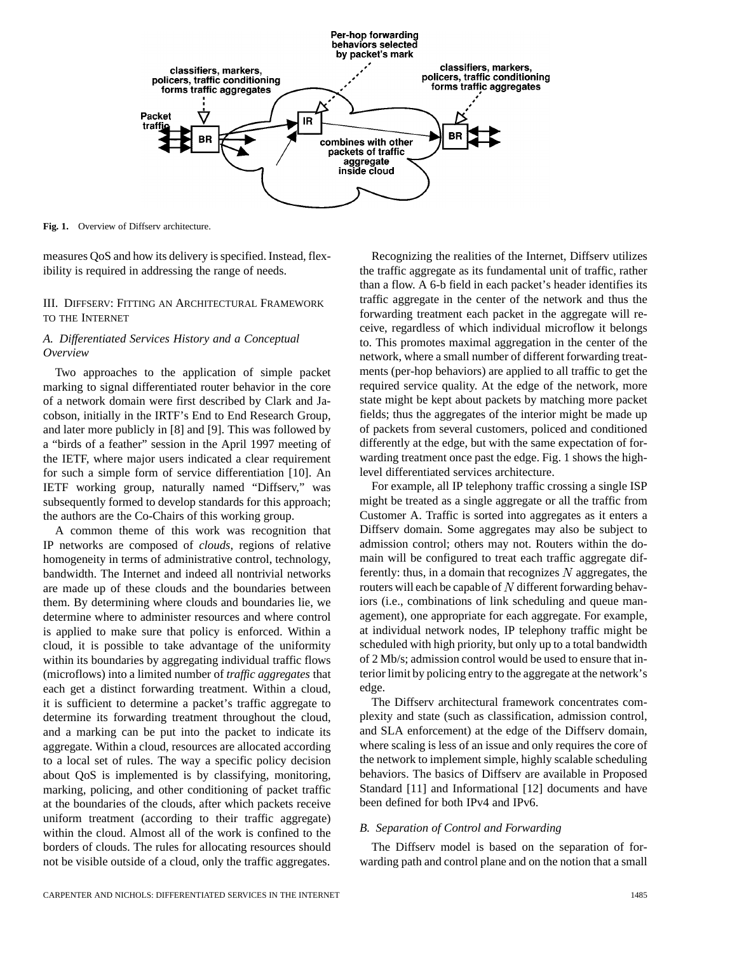

Fig. 1. Overview of Diffserv architecture.

measures QoS and how its delivery is specified. Instead, flexibility is required in addressing the range of needs.

## III. DIFFSERV: FITTING AN ARCHITECTURAL FRAMEWORK TO THE INTERNET

## *A. Differentiated Services History and a Conceptual Overview*

Two approaches to the application of simple packet marking to signal differentiated router behavior in the core of a network domain were first described by Clark and Jacobson, initially in the IRTF's End to End Research Group, and later more publicly in [8] and [9]. This was followed by a "birds of a feather" session in the April 1997 meeting of the IETF, where major users indicated a clear requirement for such a simple form of service differentiation [10]. An IETF working group, naturally named "Diffserv," was subsequently formed to develop standards for this approach; the authors are the Co-Chairs of this working group.

A common theme of this work was recognition that IP networks are composed of *clouds*, regions of relative homogeneity in terms of administrative control, technology, bandwidth. The Internet and indeed all nontrivial networks are made up of these clouds and the boundaries between them. By determining where clouds and boundaries lie, we determine where to administer resources and where control is applied to make sure that policy is enforced. Within a cloud, it is possible to take advantage of the uniformity within its boundaries by aggregating individual traffic flows (microflows) into a limited number of *traffic aggregates* that each get a distinct forwarding treatment. Within a cloud, it is sufficient to determine a packet's traffic aggregate to determine its forwarding treatment throughout the cloud, and a marking can be put into the packet to indicate its aggregate. Within a cloud, resources are allocated according to a local set of rules. The way a specific policy decision about QoS is implemented is by classifying, monitoring, marking, policing, and other conditioning of packet traffic at the boundaries of the clouds, after which packets receive uniform treatment (according to their traffic aggregate) within the cloud. Almost all of the work is confined to the borders of clouds. The rules for allocating resources should not be visible outside of a cloud, only the traffic aggregates.

Recognizing the realities of the Internet, Diffserv utilizes the traffic aggregate as its fundamental unit of traffic, rather than a flow. A 6-b field in each packet's header identifies its traffic aggregate in the center of the network and thus the forwarding treatment each packet in the aggregate will receive, regardless of which individual microflow it belongs to. This promotes maximal aggregation in the center of the network, where a small number of different forwarding treatments (per-hop behaviors) are applied to all traffic to get the required service quality. At the edge of the network, more state might be kept about packets by matching more packet fields; thus the aggregates of the interior might be made up of packets from several customers, policed and conditioned differently at the edge, but with the same expectation of forwarding treatment once past the edge. Fig. 1 shows the highlevel differentiated services architecture.

For example, all IP telephony traffic crossing a single ISP might be treated as a single aggregate or all the traffic from Customer A. Traffic is sorted into aggregates as it enters a Diffserv domain. Some aggregates may also be subject to admission control; others may not. Routers within the domain will be configured to treat each traffic aggregate differently: thus, in a domain that recognizes  $N$  aggregates, the routers will each be capable of  $N$  different forwarding behaviors (i.e., combinations of link scheduling and queue management), one appropriate for each aggregate. For example, at individual network nodes, IP telephony traffic might be scheduled with high priority, but only up to a total bandwidth of 2 Mb/s; admission control would be used to ensure that interior limit by policing entry to the aggregate at the network's edge.

The Diffserv architectural framework concentrates complexity and state (such as classification, admission control, and SLA enforcement) at the edge of the Diffserv domain, where scaling is less of an issue and only requires the core of the network to implement simple, highly scalable scheduling behaviors. The basics of Diffserv are available in Proposed Standard [11] and Informational [12] documents and have been defined for both IPv4 and IPv6.

## *B. Separation of Control and Forwarding*

The Diffserv model is based on the separation of forwarding path and control plane and on the notion that a small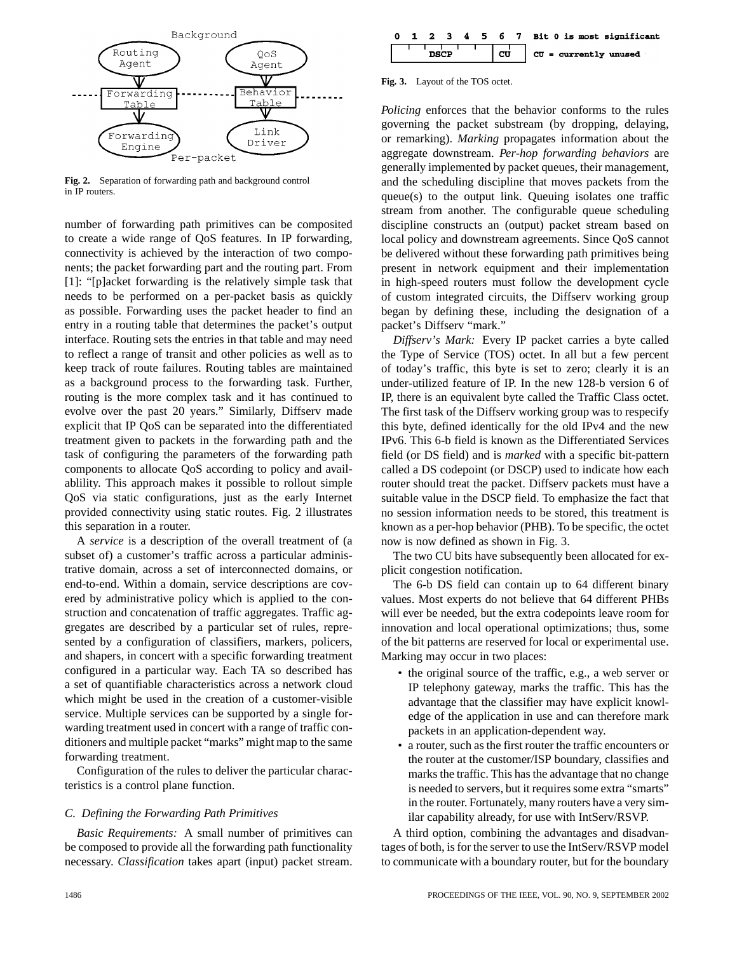

**Fig. 2.** Separation of forwarding path and background control in IP routers.

number of forwarding path primitives can be composited to create a wide range of QoS features. In IP forwarding, connectivity is achieved by the interaction of two components; the packet forwarding part and the routing part. From [1]: "[p]acket forwarding is the relatively simple task that needs to be performed on a per-packet basis as quickly as possible. Forwarding uses the packet header to find an entry in a routing table that determines the packet's output interface. Routing sets the entries in that table and may need to reflect a range of transit and other policies as well as to keep track of route failures. Routing tables are maintained as a background process to the forwarding task. Further, routing is the more complex task and it has continued to evolve over the past 20 years." Similarly, Diffserv made explicit that IP QoS can be separated into the differentiated treatment given to packets in the forwarding path and the task of configuring the parameters of the forwarding path components to allocate QoS according to policy and availablility. This approach makes it possible to rollout simple QoS via static configurations, just as the early Internet provided connectivity using static routes. Fig. 2 illustrates this separation in a router.

A *service* is a description of the overall treatment of (a subset of) a customer's traffic across a particular administrative domain, across a set of interconnected domains, or end-to-end. Within a domain, service descriptions are covered by administrative policy which is applied to the construction and concatenation of traffic aggregates. Traffic aggregates are described by a particular set of rules, represented by a configuration of classifiers, markers, policers, and shapers, in concert with a specific forwarding treatment configured in a particular way. Each TA so described has a set of quantifiable characteristics across a network cloud which might be used in the creation of a customer-visible service. Multiple services can be supported by a single forwarding treatment used in concert with a range of traffic conditioners and multiple packet "marks" might map to the same forwarding treatment.

Configuration of the rules to deliver the particular characteristics is a control plane function.

#### *C. Defining the Forwarding Path Primitives*

*Basic Requirements:* A small number of primitives can be composed to provide all the forwarding path functionality necessary. *Classification* takes apart (input) packet stream.



**Fig. 3.** Layout of the TOS octet.

*Policing* enforces that the behavior conforms to the rules governing the packet substream (by dropping, delaying, or remarking). *Marking* propagates information about the aggregate downstream. *Per-hop forwarding behaviors* are generally implemented by packet queues, their management, and the scheduling discipline that moves packets from the queue(s) to the output link. Queuing isolates one traffic stream from another. The configurable queue scheduling discipline constructs an (output) packet stream based on local policy and downstream agreements. Since QoS cannot be delivered without these forwarding path primitives being present in network equipment and their implementation in high-speed routers must follow the development cycle of custom integrated circuits, the Diffserv working group began by defining these, including the designation of a packet's Diffserv "mark."

*Diffserv's Mark:* Every IP packet carries a byte called the Type of Service (TOS) octet. In all but a few percent of today's traffic, this byte is set to zero; clearly it is an under-utilized feature of IP. In the new 128-b version 6 of IP, there is an equivalent byte called the Traffic Class octet. The first task of the Diffserv working group was to respecify this byte, defined identically for the old IPv4 and the new IPv6. This 6-b field is known as the Differentiated Services field (or DS field) and is *marked* with a specific bit-pattern called a DS codepoint (or DSCP) used to indicate how each router should treat the packet. Diffserv packets must have a suitable value in the DSCP field. To emphasize the fact that no session information needs to be stored, this treatment is known as a per-hop behavior (PHB). To be specific, the octet now is now defined as shown in Fig. 3.

The two CU bits have subsequently been allocated for explicit congestion notification.

The 6-b DS field can contain up to 64 different binary values. Most experts do not believe that 64 different PHBs will ever be needed, but the extra codepoints leave room for innovation and local operational optimizations; thus, some of the bit patterns are reserved for local or experimental use. Marking may occur in two places:

- the original source of the traffic, e.g., a web server or IP telephony gateway, marks the traffic. This has the advantage that the classifier may have explicit knowledge of the application in use and can therefore mark packets in an application-dependent way.
- a router, such as the first router the traffic encounters or the router at the customer/ISP boundary, classifies and marks the traffic. This has the advantage that no change is needed to servers, but it requires some extra "smarts" in the router. Fortunately, many routers have a very similar capability already, for use with IntServ/RSVP.

A third option, combining the advantages and disadvantages of both, is for the server to use the IntServ/RSVP model to communicate with a boundary router, but for the boundary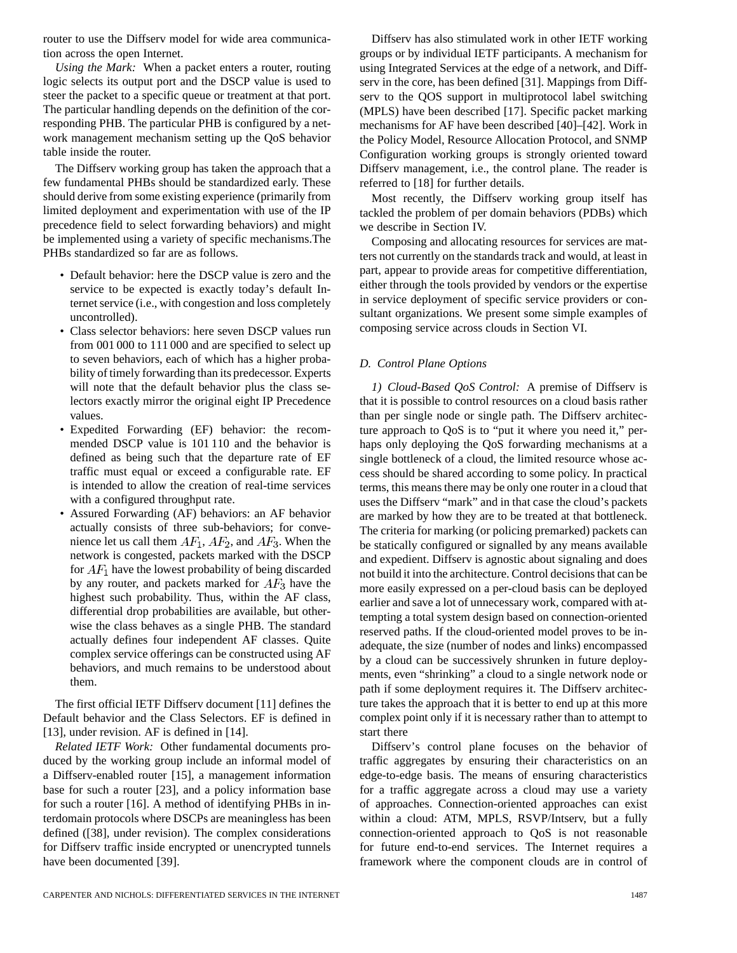router to use the Diffserv model for wide area communication across the open Internet.

*Using the Mark:* When a packet enters a router, routing logic selects its output port and the DSCP value is used to steer the packet to a specific queue or treatment at that port. The particular handling depends on the definition of the corresponding PHB. The particular PHB is configured by a network management mechanism setting up the QoS behavior table inside the router.

The Diffserv working group has taken the approach that a few fundamental PHBs should be standardized early. These should derive from some existing experience (primarily from limited deployment and experimentation with use of the IP precedence field to select forwarding behaviors) and might be implemented using a variety of specific mechanisms.The PHBs standardized so far are as follows.

- Default behavior: here the DSCP value is zero and the service to be expected is exactly today's default Internet service (i.e., with congestion and loss completely uncontrolled).
- Class selector behaviors: here seven DSCP values run from 001 000 to 111 000 and are specified to select up to seven behaviors, each of which has a higher probability of timely forwarding than its predecessor. Experts will note that the default behavior plus the class selectors exactly mirror the original eight IP Precedence values.
- Expedited Forwarding (EF) behavior: the recommended DSCP value is 101 110 and the behavior is defined as being such that the departure rate of EF traffic must equal or exceed a configurable rate. EF is intended to allow the creation of real-time services with a configured throughput rate.
- Assured Forwarding (AF) behaviors: an AF behavior actually consists of three sub-behaviors; for convenience let us call them  $AF_1$ ,  $AF_2$ , and  $AF_3$ . When the network is congested, packets marked with the DSCP for  $AF<sub>1</sub>$  have the lowest probability of being discarded by any router, and packets marked for  $AF_3$  have the highest such probability. Thus, within the AF class, differential drop probabilities are available, but otherwise the class behaves as a single PHB. The standard actually defines four independent AF classes. Quite complex service offerings can be constructed using AF behaviors, and much remains to be understood about them.

The first official IETF Diffserv document [11] defines the Default behavior and the Class Selectors. EF is defined in [13], under revision. AF is defined in [14].

*Related IETF Work:* Other fundamental documents produced by the working group include an informal model of a Diffserv-enabled router [15], a management information base for such a router [23], and a policy information base for such a router [16]. A method of identifying PHBs in interdomain protocols where DSCPs are meaningless has been defined ([38], under revision). The complex considerations for Diffserv traffic inside encrypted or unencrypted tunnels have been documented [39].

Diffserv has also stimulated work in other IETF working groups or by individual IETF participants. A mechanism for using Integrated Services at the edge of a network, and Diffserv in the core, has been defined [31]. Mappings from Diffserv to the QOS support in multiprotocol label switching (MPLS) have been described [17]. Specific packet marking mechanisms for AF have been described [40]–[42]. Work in the Policy Model, Resource Allocation Protocol, and SNMP Configuration working groups is strongly oriented toward Diffserv management, i.e., the control plane. The reader is referred to [18] for further details.

Most recently, the Diffserv working group itself has tackled the problem of per domain behaviors (PDBs) which we describe in Section IV.

Composing and allocating resources for services are matters not currently on the standards track and would, at least in part, appear to provide areas for competitive differentiation, either through the tools provided by vendors or the expertise in service deployment of specific service providers or consultant organizations. We present some simple examples of composing service across clouds in Section VI.

#### *D. Control Plane Options*

*1) Cloud-Based QoS Control:* A premise of Diffserv is that it is possible to control resources on a cloud basis rather than per single node or single path. The Diffserv architecture approach to QoS is to "put it where you need it," perhaps only deploying the QoS forwarding mechanisms at a single bottleneck of a cloud, the limited resource whose access should be shared according to some policy. In practical terms, this means there may be only one router in a cloud that uses the Diffserv "mark" and in that case the cloud's packets are marked by how they are to be treated at that bottleneck. The criteria for marking (or policing premarked) packets can be statically configured or signalled by any means available and expedient. Diffserv is agnostic about signaling and does not build it into the architecture. Control decisions that can be more easily expressed on a per-cloud basis can be deployed earlier and save a lot of unnecessary work, compared with attempting a total system design based on connection-oriented reserved paths. If the cloud-oriented model proves to be inadequate, the size (number of nodes and links) encompassed by a cloud can be successively shrunken in future deployments, even "shrinking" a cloud to a single network node or path if some deployment requires it. The Diffserv architecture takes the approach that it is better to end up at this more complex point only if it is necessary rather than to attempt to start there

Diffserv's control plane focuses on the behavior of traffic aggregates by ensuring their characteristics on an edge-to-edge basis. The means of ensuring characteristics for a traffic aggregate across a cloud may use a variety of approaches. Connection-oriented approaches can exist within a cloud: ATM, MPLS, RSVP/Intserv, but a fully connection-oriented approach to QoS is not reasonable for future end-to-end services. The Internet requires a framework where the component clouds are in control of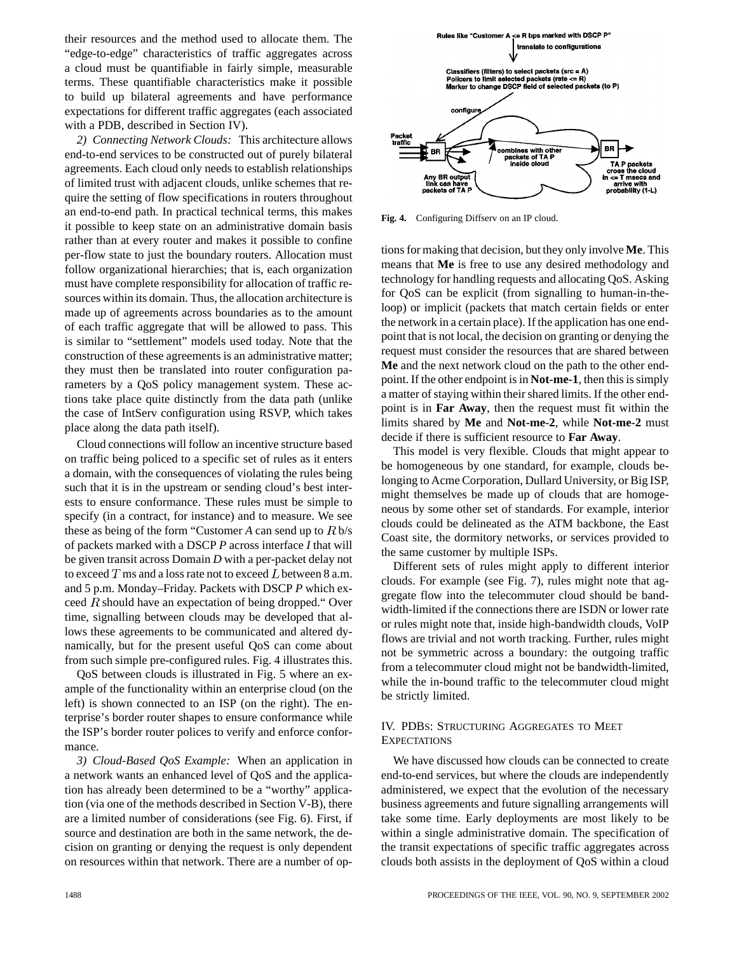their resources and the method used to allocate them. The "edge-to-edge" characteristics of traffic aggregates across a cloud must be quantifiable in fairly simple, measurable terms. These quantifiable characteristics make it possible to build up bilateral agreements and have performance expectations for different traffic aggregates (each associated with a PDB, described in Section IV).

*2) Connecting Network Clouds:* This architecture allows end-to-end services to be constructed out of purely bilateral agreements. Each cloud only needs to establish relationships of limited trust with adjacent clouds, unlike schemes that require the setting of flow specifications in routers throughout an end-to-end path. In practical technical terms, this makes it possible to keep state on an administrative domain basis rather than at every router and makes it possible to confine per-flow state to just the boundary routers. Allocation must follow organizational hierarchies; that is, each organization must have complete responsibility for allocation of traffic resources within its domain. Thus, the allocation architecture is made up of agreements across boundaries as to the amount of each traffic aggregate that will be allowed to pass. This is similar to "settlement" models used today. Note that the construction of these agreements is an administrative matter; they must then be translated into router configuration parameters by a QoS policy management system. These actions take place quite distinctly from the data path (unlike the case of IntServ configuration using RSVP, which takes place along the data path itself).

Cloud connections will follow an incentive structure based on traffic being policed to a specific set of rules as it enters a domain, with the consequences of violating the rules being such that it is in the upstream or sending cloud's best interests to ensure conformance. These rules must be simple to specify (in a contract, for instance) and to measure. We see these as being of the form "Customer *A* can send up to  $R$  b/s of packets marked with a DSCP *P* across interface *I* that will be given transit across Domain *D* with a per-packet delay not to exceed  $T$  ms and a loss rate not to exceed  $L$  between 8 a.m. and 5 p.m. Monday–Friday. Packets with DSCP *P* which exceed  $R$  should have an expectation of being dropped." Over time, signalling between clouds may be developed that allows these agreements to be communicated and altered dynamically, but for the present useful QoS can come about from such simple pre-configured rules. Fig. 4 illustrates this.

QoS between clouds is illustrated in Fig. 5 where an example of the functionality within an enterprise cloud (on the left) is shown connected to an ISP (on the right). The enterprise's border router shapes to ensure conformance while the ISP's border router polices to verify and enforce conformance.

*3) Cloud-Based QoS Example:* When an application in a network wants an enhanced level of QoS and the application has already been determined to be a "worthy" application (via one of the methods described in Section V-B), there are a limited number of considerations (see Fig. 6). First, if source and destination are both in the same network, the decision on granting or denying the request is only dependent on resources within that network. There are a number of op-



**Fig. 4.** Configuring Diffserv on an IP cloud.

tions for making that decision, but they only involve **Me**. This means that **Me** is free to use any desired methodology and technology for handling requests and allocating QoS. Asking for QoS can be explicit (from signalling to human-in-theloop) or implicit (packets that match certain fields or enter the network in a certain place). If the application has one endpoint that is not local, the decision on granting or denying the request must consider the resources that are shared between **Me** and the next network cloud on the path to the other endpoint. If the other endpoint is in **Not-me-1**, then this is simply a matter of staying within their shared limits. If the other endpoint is in **Far Away**, then the request must fit within the limits shared by **Me** and **Not-me-2**, while **Not-me-2** must decide if there is sufficient resource to **Far Away**.

This model is very flexible. Clouds that might appear to be homogeneous by one standard, for example, clouds belonging to Acme Corporation, Dullard University, or Big ISP, might themselves be made up of clouds that are homogeneous by some other set of standards. For example, interior clouds could be delineated as the ATM backbone, the East Coast site, the dormitory networks, or services provided to the same customer by multiple ISPs.

Different sets of rules might apply to different interior clouds. For example (see Fig. 7), rules might note that aggregate flow into the telecommuter cloud should be bandwidth-limited if the connections there are ISDN or lower rate or rules might note that, inside high-bandwidth clouds, VoIP flows are trivial and not worth tracking. Further, rules might not be symmetric across a boundary: the outgoing traffic from a telecommuter cloud might not be bandwidth-limited, while the in-bound traffic to the telecommuter cloud might be strictly limited.

## IV. PDBS: STRUCTURING AGGREGATES TO MEET **EXPECTATIONS**

We have discussed how clouds can be connected to create end-to-end services, but where the clouds are independently administered, we expect that the evolution of the necessary business agreements and future signalling arrangements will take some time. Early deployments are most likely to be within a single administrative domain. The specification of the transit expectations of specific traffic aggregates across clouds both assists in the deployment of QoS within a cloud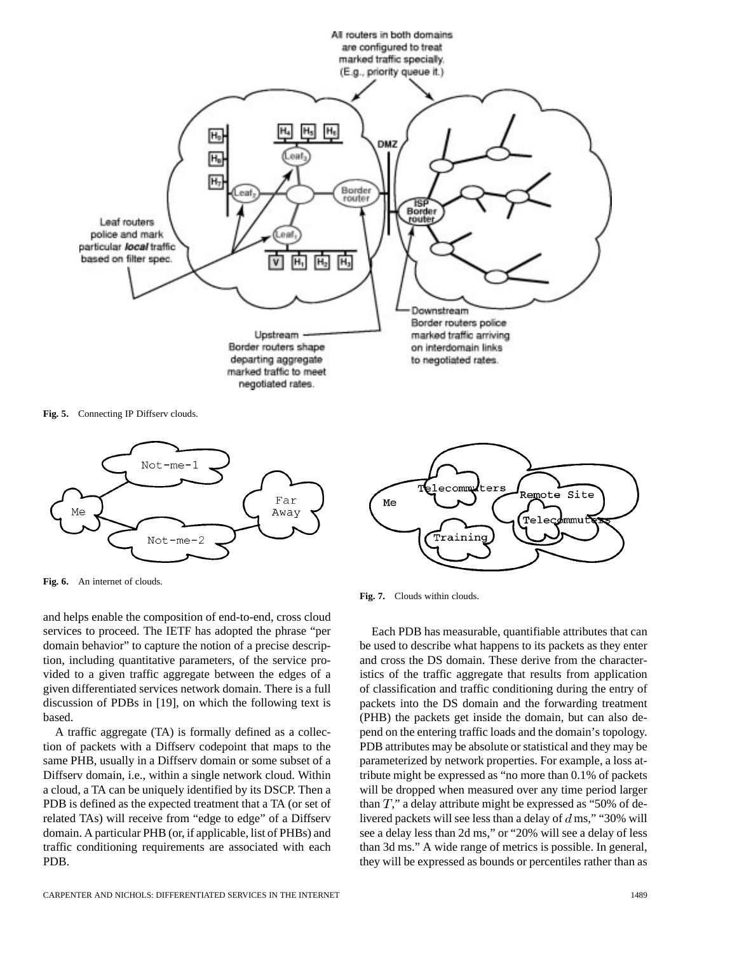

Fig. 5. Connecting IP Diffserv clouds.





and helps enable the composition of end-to-end, cross cloud services to proceed. The IETF has adopted the phrase "per domain behavior" to capture the notion of a precise description, including quantitative parameters, of the service provided to a given traffic aggregate between the edges of a given differentiated services network domain. There is a full discussion of PDBs in [19], on which the following text is based.

A traffic aggregate (TA) is formally defined as a collection of packets with a Diffserv codepoint that maps to the same PHB, usually in a Diffserv domain or some subset of a Diffserv domain, i.e., within a single network cloud. Within a cloud, a TA can be uniquely identified by its DSCP. Then a PDB is defined as the expected treatment that a TA (or set of related TAs) will receive from "edge to edge" of a Diffserv domain. A particular PHB (or, if applicable, list of PHBs) and traffic conditioning requirements are associated with each PDB.





**Fig. 7.** Clouds within clouds.

Each PDB has measurable, quantifiable attributes that can be used to describe what happens to its packets as they enter and cross the DS domain. These derive from the characteristics of the traffic aggregate that results from application of classification and traffic conditioning during the entry of packets into the DS domain and the forwarding treatment (PHB) the packets get inside the domain, but can also depend on the entering traffic loads and the domain's topology. PDB attributes may be absolute or statistical and they may be parameterized by network properties. For example, a loss attribute might be expressed as "no more than 0.1% of packets will be dropped when measured over any time period larger than  $T$ ," a delay attribute might be expressed as "50% of delivered packets will see less than a delay of  $d$  ms," "30% will see a delay less than 2d ms," or "20% will see a delay of less than 3d ms." A wide range of metrics is possible. In general, they will be expressed as bounds or percentiles rather than as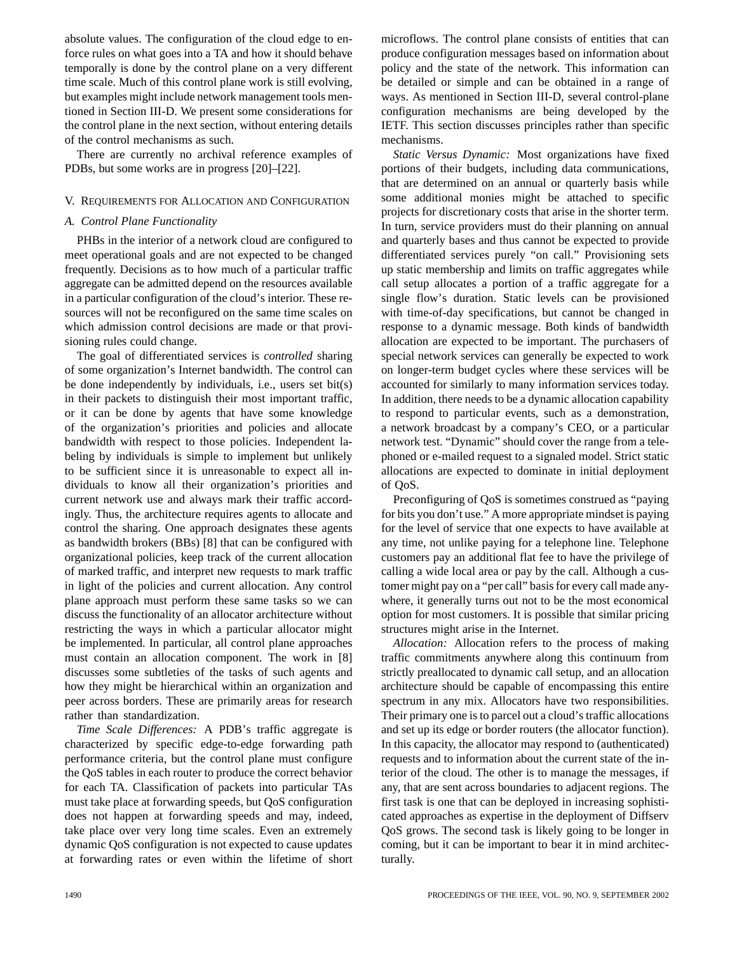absolute values. The configuration of the cloud edge to enforce rules on what goes into a TA and how it should behave temporally is done by the control plane on a very different time scale. Much of this control plane work is still evolving, but examples might include network management tools mentioned in Section III-D. We present some considerations for the control plane in the next section, without entering details of the control mechanisms as such.

There are currently no archival reference examples of PDBs, but some works are in progress [20]–[22].

#### V. REQUIREMENTS FOR ALLOCATION AND CONFIGURATION

#### *A. Control Plane Functionality*

PHBs in the interior of a network cloud are configured to meet operational goals and are not expected to be changed frequently. Decisions as to how much of a particular traffic aggregate can be admitted depend on the resources available in a particular configuration of the cloud's interior. These resources will not be reconfigured on the same time scales on which admission control decisions are made or that provisioning rules could change.

The goal of differentiated services is *controlled* sharing of some organization's Internet bandwidth. The control can be done independently by individuals, i.e., users set bit(s) in their packets to distinguish their most important traffic, or it can be done by agents that have some knowledge of the organization's priorities and policies and allocate bandwidth with respect to those policies. Independent labeling by individuals is simple to implement but unlikely to be sufficient since it is unreasonable to expect all individuals to know all their organization's priorities and current network use and always mark their traffic accordingly. Thus, the architecture requires agents to allocate and control the sharing. One approach designates these agents as bandwidth brokers (BBs) [8] that can be configured with organizational policies, keep track of the current allocation of marked traffic, and interpret new requests to mark traffic in light of the policies and current allocation. Any control plane approach must perform these same tasks so we can discuss the functionality of an allocator architecture without restricting the ways in which a particular allocator might be implemented. In particular, all control plane approaches must contain an allocation component. The work in [8] discusses some subtleties of the tasks of such agents and how they might be hierarchical within an organization and peer across borders. These are primarily areas for research rather than standardization.

*Time Scale Differences:* A PDB's traffic aggregate is characterized by specific edge-to-edge forwarding path performance criteria, but the control plane must configure the QoS tables in each router to produce the correct behavior for each TA. Classification of packets into particular TAs must take place at forwarding speeds, but QoS configuration does not happen at forwarding speeds and may, indeed, take place over very long time scales. Even an extremely dynamic QoS configuration is not expected to cause updates at forwarding rates or even within the lifetime of short microflows. The control plane consists of entities that can produce configuration messages based on information about policy and the state of the network. This information can be detailed or simple and can be obtained in a range of ways. As mentioned in Section III-D, several control-plane configuration mechanisms are being developed by the IETF. This section discusses principles rather than specific mechanisms.

*Static Versus Dynamic:* Most organizations have fixed portions of their budgets, including data communications, that are determined on an annual or quarterly basis while some additional monies might be attached to specific projects for discretionary costs that arise in the shorter term. In turn, service providers must do their planning on annual and quarterly bases and thus cannot be expected to provide differentiated services purely "on call." Provisioning sets up static membership and limits on traffic aggregates while call setup allocates a portion of a traffic aggregate for a single flow's duration. Static levels can be provisioned with time-of-day specifications, but cannot be changed in response to a dynamic message. Both kinds of bandwidth allocation are expected to be important. The purchasers of special network services can generally be expected to work on longer-term budget cycles where these services will be accounted for similarly to many information services today. In addition, there needs to be a dynamic allocation capability to respond to particular events, such as a demonstration, a network broadcast by a company's CEO, or a particular network test. "Dynamic" should cover the range from a telephoned or e-mailed request to a signaled model. Strict static allocations are expected to dominate in initial deployment of QoS.

Preconfiguring of QoS is sometimes construed as "paying for bits you don't use." A more appropriate mindset is paying for the level of service that one expects to have available at any time, not unlike paying for a telephone line. Telephone customers pay an additional flat fee to have the privilege of calling a wide local area or pay by the call. Although a customer might pay on a "per call" basis for every call made anywhere, it generally turns out not to be the most economical option for most customers. It is possible that similar pricing structures might arise in the Internet.

*Allocation:* Allocation refers to the process of making traffic commitments anywhere along this continuum from strictly preallocated to dynamic call setup, and an allocation architecture should be capable of encompassing this entire spectrum in any mix. Allocators have two responsibilities. Their primary one is to parcel out a cloud's traffic allocations and set up its edge or border routers (the allocator function). In this capacity, the allocator may respond to (authenticated) requests and to information about the current state of the interior of the cloud. The other is to manage the messages, if any, that are sent across boundaries to adjacent regions. The first task is one that can be deployed in increasing sophisticated approaches as expertise in the deployment of Diffserv QoS grows. The second task is likely going to be longer in coming, but it can be important to bear it in mind architecturally.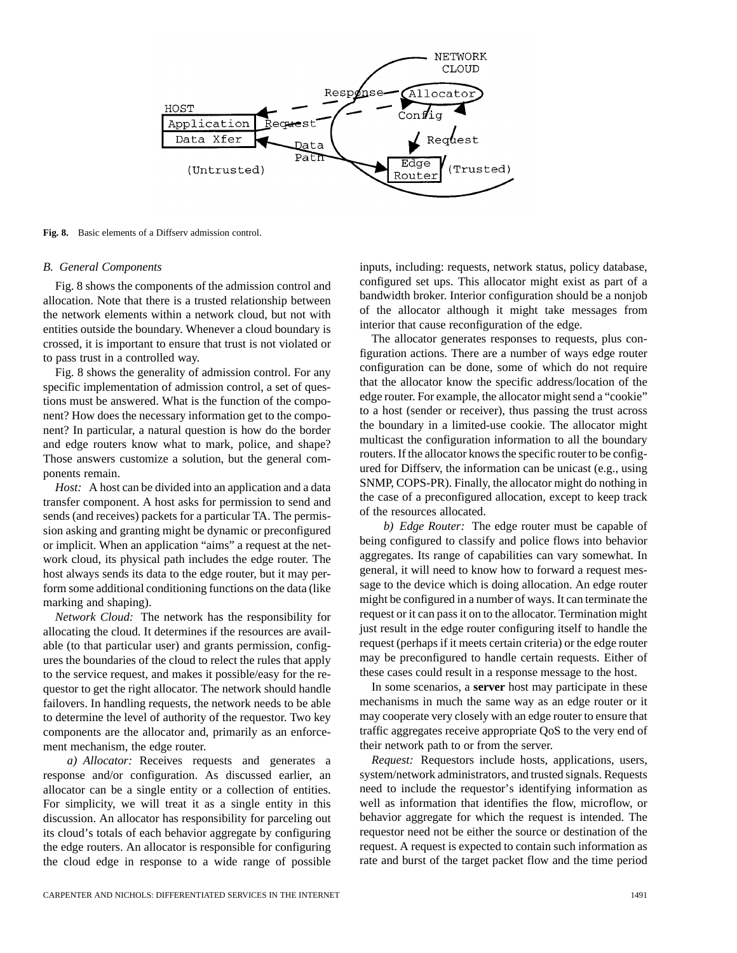

Fig. 8. Basic elements of a Diffserv admission control.

#### *B. General Components*

Fig. 8 shows the components of the admission control and allocation. Note that there is a trusted relationship between the network elements within a network cloud, but not with entities outside the boundary. Whenever a cloud boundary is crossed, it is important to ensure that trust is not violated or to pass trust in a controlled way.

Fig. 8 shows the generality of admission control. For any specific implementation of admission control, a set of questions must be answered. What is the function of the component? How does the necessary information get to the component? In particular, a natural question is how do the border and edge routers know what to mark, police, and shape? Those answers customize a solution, but the general components remain.

*Host:* A host can be divided into an application and a data transfer component. A host asks for permission to send and sends (and receives) packets for a particular TA. The permission asking and granting might be dynamic or preconfigured or implicit. When an application "aims" a request at the network cloud, its physical path includes the edge router. The host always sends its data to the edge router, but it may perform some additional conditioning functions on the data (like marking and shaping).

*Network Cloud:* The network has the responsibility for allocating the cloud. It determines if the resources are available (to that particular user) and grants permission, configures the boundaries of the cloud to relect the rules that apply to the service request, and makes it possible/easy for the requestor to get the right allocator. The network should handle failovers. In handling requests, the network needs to be able to determine the level of authority of the requestor. Two key components are the allocator and, primarily as an enforcement mechanism, the edge router.

*a) Allocator:* Receives requests and generates a response and/or configuration. As discussed earlier, an allocator can be a single entity or a collection of entities. For simplicity, we will treat it as a single entity in this discussion. An allocator has responsibility for parceling out its cloud's totals of each behavior aggregate by configuring the edge routers. An allocator is responsible for configuring the cloud edge in response to a wide range of possible inputs, including: requests, network status, policy database, configured set ups. This allocator might exist as part of a bandwidth broker. Interior configuration should be a nonjob of the allocator although it might take messages from interior that cause reconfiguration of the edge.

The allocator generates responses to requests, plus configuration actions. There are a number of ways edge router configuration can be done, some of which do not require that the allocator know the specific address/location of the edge router. For example, the allocator might send a "cookie" to a host (sender or receiver), thus passing the trust across the boundary in a limited-use cookie. The allocator might multicast the configuration information to all the boundary routers. If the allocator knows the specific router to be configured for Diffserv, the information can be unicast (e.g., using SNMP, COPS-PR). Finally, the allocator might do nothing in the case of a preconfigured allocation, except to keep track of the resources allocated.

*b) Edge Router:* The edge router must be capable of being configured to classify and police flows into behavior aggregates. Its range of capabilities can vary somewhat. In general, it will need to know how to forward a request message to the device which is doing allocation. An edge router might be configured in a number of ways. It can terminate the request or it can pass it on to the allocator. Termination might just result in the edge router configuring itself to handle the request (perhaps if it meets certain criteria) or the edge router may be preconfigured to handle certain requests. Either of these cases could result in a response message to the host.

In some scenarios, a **server** host may participate in these mechanisms in much the same way as an edge router or it may cooperate very closely with an edge router to ensure that traffic aggregates receive appropriate QoS to the very end of their network path to or from the server.

*Request:* Requestors include hosts, applications, users, system/network administrators, and trusted signals. Requests need to include the requestor's identifying information as well as information that identifies the flow, microflow, or behavior aggregate for which the request is intended. The requestor need not be either the source or destination of the request. A request is expected to contain such information as rate and burst of the target packet flow and the time period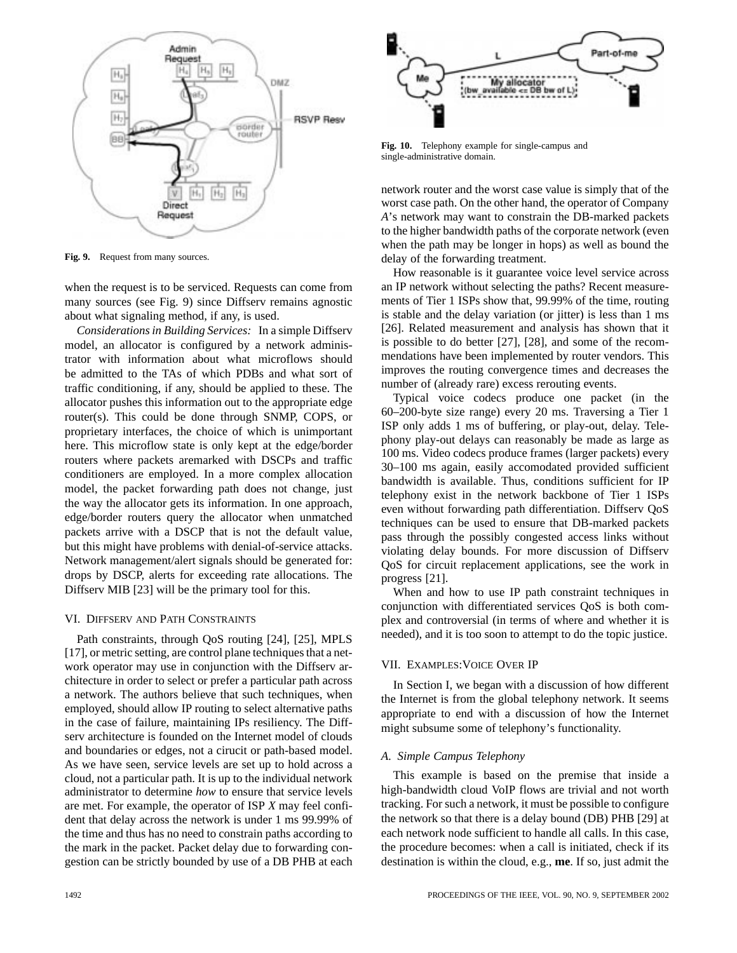

**Fig. 9.** Request from many sources.

when the request is to be serviced. Requests can come from many sources (see Fig. 9) since Diffserv remains agnostic about what signaling method, if any, is used.

*Considerations in Building Services:* In a simple Diffserv model, an allocator is configured by a network administrator with information about what microflows should be admitted to the TAs of which PDBs and what sort of traffic conditioning, if any, should be applied to these. The allocator pushes this information out to the appropriate edge router(s). This could be done through SNMP, COPS, or proprietary interfaces, the choice of which is unimportant here. This microflow state is only kept at the edge/border routers where packets aremarked with DSCPs and traffic conditioners are employed. In a more complex allocation model, the packet forwarding path does not change, just the way the allocator gets its information. In one approach, edge/border routers query the allocator when unmatched packets arrive with a DSCP that is not the default value, but this might have problems with denial-of-service attacks. Network management/alert signals should be generated for: drops by DSCP, alerts for exceeding rate allocations. The Diffserv MIB [23] will be the primary tool for this.

#### VI. DIFFSERV AND PATH CONSTRAINTS

Path constraints, through QoS routing [24], [25], MPLS [17], or metric setting, are control plane techniques that a network operator may use in conjunction with the Diffserv architecture in order to select or prefer a particular path across a network. The authors believe that such techniques, when employed, should allow IP routing to select alternative paths in the case of failure, maintaining IPs resiliency. The Diffserv architecture is founded on the Internet model of clouds and boundaries or edges, not a cirucit or path-based model. As we have seen, service levels are set up to hold across a cloud, not a particular path. It is up to the individual network administrator to determine *how* to ensure that service levels are met. For example, the operator of ISP *X* may feel confident that delay across the network is under 1 ms 99.99% of the time and thus has no need to constrain paths according to the mark in the packet. Packet delay due to forwarding congestion can be strictly bounded by use of a DB PHB at each



**Fig. 10.** Telephony example for single-campus and single-administrative domain.

network router and the worst case value is simply that of the worst case path. On the other hand, the operator of Company *A*'s network may want to constrain the DB-marked packets to the higher bandwidth paths of the corporate network (even when the path may be longer in hops) as well as bound the delay of the forwarding treatment.

How reasonable is it guarantee voice level service across an IP network without selecting the paths? Recent measurements of Tier 1 ISPs show that, 99.99% of the time, routing is stable and the delay variation (or jitter) is less than 1 ms [26]. Related measurement and analysis has shown that it is possible to do better [27], [28], and some of the recommendations have been implemented by router vendors. This improves the routing convergence times and decreases the number of (already rare) excess rerouting events.

Typical voice codecs produce one packet (in the 60–200-byte size range) every 20 ms. Traversing a Tier 1 ISP only adds 1 ms of buffering, or play-out, delay. Telephony play-out delays can reasonably be made as large as 100 ms. Video codecs produce frames (larger packets) every 30–100 ms again, easily accomodated provided sufficient bandwidth is available. Thus, conditions sufficient for IP telephony exist in the network backbone of Tier 1 ISPs even without forwarding path differentiation. Diffserv QoS techniques can be used to ensure that DB-marked packets pass through the possibly congested access links without violating delay bounds. For more discussion of Diffserv QoS for circuit replacement applications, see the work in progress [21].

When and how to use IP path constraint techniques in conjunction with differentiated services QoS is both complex and controversial (in terms of where and whether it is needed), and it is too soon to attempt to do the topic justice.

## VII. EXAMPLES:VOICE OVER IP

In Section I, we began with a discussion of how different the Internet is from the global telephony network. It seems appropriate to end with a discussion of how the Internet might subsume some of telephony's functionality.

#### *A. Simple Campus Telephony*

This example is based on the premise that inside a high-bandwidth cloud VoIP flows are trivial and not worth tracking. For such a network, it must be possible to configure the network so that there is a delay bound (DB) PHB [29] at each network node sufficient to handle all calls. In this case, the procedure becomes: when a call is initiated, check if its destination is within the cloud, e.g., **me**. If so, just admit the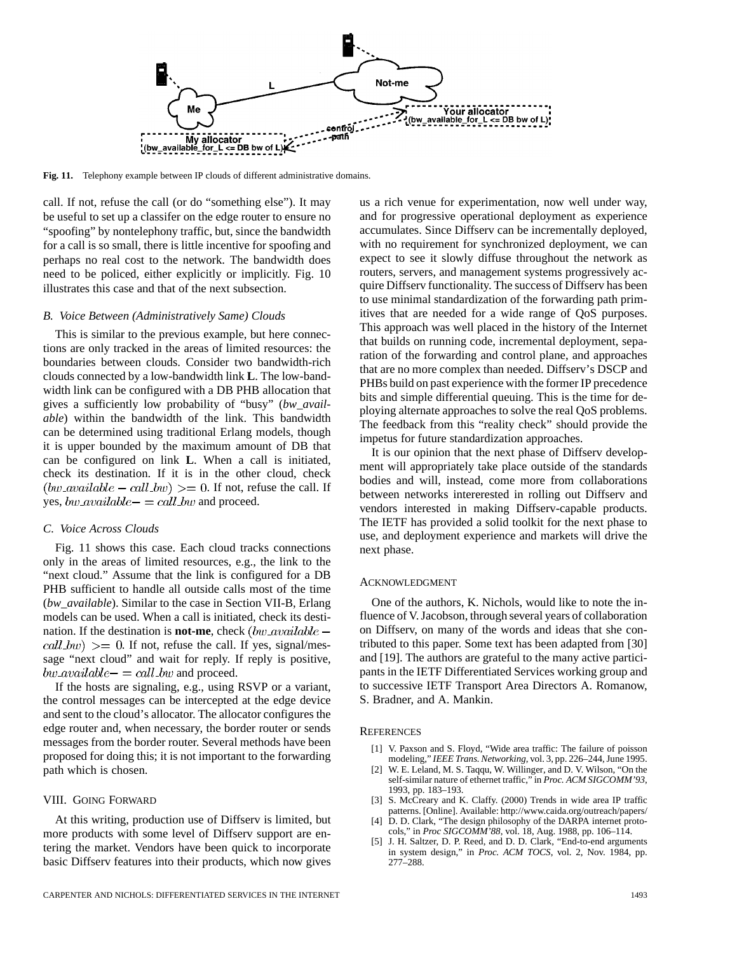

**Fig. 11.** Telephony example between IP clouds of different administrative domains.

call. If not, refuse the call (or do "something else"). It may be useful to set up a classifer on the edge router to ensure no "spoofing" by nontelephony traffic, but, since the bandwidth for a call is so small, there is little incentive for spoofing and perhaps no real cost to the network. The bandwidth does need to be policed, either explicitly or implicitly. Fig. 10 illustrates this case and that of the next subsection.

#### *B. Voice Between (Administratively Same) Clouds*

This is similar to the previous example, but here connections are only tracked in the areas of limited resources: the boundaries between clouds. Consider two bandwidth-rich clouds connected by a low-bandwidth link **L**. The low-bandwidth link can be configured with a DB PHB allocation that gives a sufficiently low probability of "busy" (*bw\_available*) within the bandwidth of the link. This bandwidth can be determined using traditional Erlang models, though it is upper bounded by the maximum amount of DB that can be configured on link **L**. When a call is initiated, check its destination. If it is in the other cloud, check  $(bw\text{-}available - call\text{-}bw) \geq 0$ . If not, refuse the call. If yes,  $bw$ <sub>-</sub> $available$  =  $call$ <sub>-</sub> $bw$  and proceed.

#### *C. Voice Across Clouds*

Fig. 11 shows this case. Each cloud tracks connections only in the areas of limited resources, e.g., the link to the "next cloud." Assume that the link is configured for a DB PHB sufficient to handle all outside calls most of the time (*bw\_available*). Similar to the case in Section VII-B, Erlang models can be used. When a call is initiated, check its destination. If the destination is **not-me**, check  $(bw\_{available}$  –  $call_bw$ )  $>= 0$ . If not, refuse the call. If yes, signal/message "next cloud" and wait for reply. If reply is positive,  $b$ w\_available –  $=$  call\_bw and proceed.

If the hosts are signaling, e.g., using RSVP or a variant, the control messages can be intercepted at the edge device and sent to the cloud's allocator. The allocator configures the edge router and, when necessary, the border router or sends messages from the border router. Several methods have been proposed for doing this; it is not important to the forwarding path which is chosen.

#### VIII. GOING FORWARD

At this writing, production use of Diffserv is limited, but more products with some level of Diffserv support are entering the market. Vendors have been quick to incorporate basic Diffserv features into their products, which now gives

us a rich venue for experimentation, now well under way, and for progressive operational deployment as experience accumulates. Since Diffserv can be incrementally deployed, with no requirement for synchronized deployment, we can expect to see it slowly diffuse throughout the network as routers, servers, and management systems progressively acquire Diffserv functionality. The success of Diffserv has been to use minimal standardization of the forwarding path primitives that are needed for a wide range of QoS purposes. This approach was well placed in the history of the Internet that builds on running code, incremental deployment, separation of the forwarding and control plane, and approaches that are no more complex than needed. Diffserv's DSCP and PHBs build on past experience with the former IP precedence bits and simple differential queuing. This is the time for deploying alternate approaches to solve the real QoS problems. The feedback from this "reality check" should provide the impetus for future standardization approaches.

It is our opinion that the next phase of Diffserv development will appropriately take place outside of the standards bodies and will, instead, come more from collaborations between networks intererested in rolling out Diffserv and vendors interested in making Diffserv-capable products. The IETF has provided a solid toolkit for the next phase to use, and deployment experience and markets will drive the next phase.

#### ACKNOWLEDGMENT

One of the authors, K. Nichols, would like to note the influence of V. Jacobson, through several years of collaboration on Diffserv, on many of the words and ideas that she contributed to this paper. Some text has been adapted from [30] and [19]. The authors are grateful to the many active participants in the IETF Differentiated Services working group and to successive IETF Transport Area Directors A. Romanow, S. Bradner, and A. Mankin.

#### **REFERENCES**

- [1] V. Paxson and S. Floyd, "Wide area traffic: The failure of poisson modeling," *IEEE Trans. Networking*, vol. 3, pp. 226–244, June 1995.
- [2] W. E. Leland, M. S. Taqqu, W. Willinger, and D. V. Wilson, "On the self-similar nature of ethernet traffic," in *Proc. ACM SIGCOMM'93*, 1993, pp. 183–193.
- [3] S. McCreary and K. Claffy. (2000) Trends in wide area IP traffic patterns. [Online]. Available: http://www.caida.org/outreach/papers/
- [4] D. D. Clark, "The design philosophy of the DARPA internet protocols," in *Proc SIGCOMM'88*, vol. 18, Aug. 1988, pp. 106–114.
- [5] J. H. Saltzer, D. P. Reed, and D. D. Clark, "End-to-end arguments in system design," in *Proc. ACM TOCS*, vol. 2, Nov. 1984, pp. 277–288.